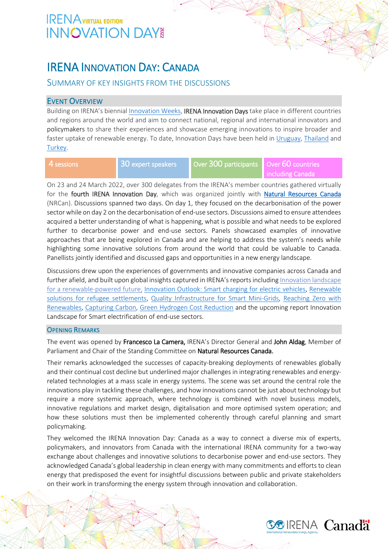# IRENA INNOVATION DAY: CANADA

## SUMMARY OF KEY INSIGHTS FROM THE DISCUSSIONS

### EVENT OVERVIEW

Building on IRENA's biennia[l Innovation Weeks,](https://innovationweek.irena.org/) IRENA Innovation Days take place in different countries and regions around the world and aim to connect national, regional and international innovators and policymakers to share their experiences and showcase emerging innovations to inspire broader and faster uptake of renewable energy. To date, Innovation Days have been held i[n Uruguay,](https://irena.org/events/2019/Jul/IRENA-Innovation-Day-Solutions-for-a-renewable-powered-future) [Thailand](https://www.irena.org/events/2019/Sep/IRENA-Innovation-Day-on-Solutions-for-a-renewable-powered-future) and [Turkey.](https://www.irena.org/events/2019/Nov/IRENA-Innovation-Day-Solutions-for-a-renewable-powered-future)

| 4 sessions | 30 expert speakers | Over 300 participants Over 60 countries |  |
|------------|--------------------|-----------------------------------------|--|
|            |                    |                                         |  |

On 23 and 24 March 2022, over 300 delegates from the IRENA's member countries gathered virtually for the fourth IRENA Innovation Day, which was organized jointly with [Natural Resources Canada](https://www.nrcan.gc.ca/home) (NRCan). Discussions spanned two days. On day 1, they focused on the decarbonisation of the power sector while on day 2 on the decarbonisation of end-use sectors. Discussions aimed to ensure attendees acquired a better understanding of what is happening, what is possible and what needs to be explored further to decarbonise power and end-use sectors. Panels showcased examples of innovative approaches that are being explored in Canada and are helping to address the system's needs while highlighting some innovative solutions from around the world that could be valuable to Canada. Panellists jointly identified and discussed gaps and opportunities in a new energy landscape.

Discussions drew upon the experiences of governments and innovative companies across Canada and further afield, and built upon global insights captured in IRENA's reports including Innovation landscape [for a renewable-powered future,](https://irena.org/publications/2019/Feb/Innovation-landscape-for-a-renewable-powered-future) [Innovation Outlook: Smart charging for electric vehicles,](https://www.irena.org/publications/2019/May/Innovation-Outlook-Smart-Charging) [Renewable](https://www.irena.org/publications/2019/Dec/Renewable-solutions-for-refugee-settlements)  [solutions for refugee settlements,](https://www.irena.org/publications/2019/Dec/Renewable-solutions-for-refugee-settlements) [Quality Infrastructure for Smart Mini-Grids,](https://www.irena.org/publications/2020/Dec/Quality-infrastructure-for-smart-mini-grids) [Reaching Zero with](https://www.irena.org/publications/2020/Sep/Reaching-Zero-with-Renewables)  [Renewables,](https://www.irena.org/publications/2020/Sep/Reaching-Zero-with-Renewables) [Capturing Carbon,](https://www.irena.org/Technical-Papers/Capturing-Carbon) [Green Hydrogen Cost Reduction](https://www.irena.org/publications/2020/Dec/Green-hydrogen-cost-reduction) and the upcoming report Innovation Landscape for Smart electrification of end-use sectors.

### **OPENING REMARKS**

The event was opened by Francesco La Camera, IRENA's Director General and John Aldag, Member of Parliament and Chair of the Standing Committee on Natural Resources Canada.

Their remarks acknowledged the successes of capacity-breaking deployments of renewables globally and their continual cost decline but underlined major challenges in integrating renewables and energyrelated technologies at a mass scale in energy systems. The scene was set around the central role the innovations play in tackling these challenges, and how innovations cannot be just about technology but require a more systemic approach, where technology is combined with novel business models, innovative regulations and market design, digitalisation and more optimised system operation; and how these solutions must then be implemented coherently through careful planning and smart policymaking.

They welcomed the IRENA Innovation Day: Canada as a way to connect a diverse mix of experts, policymakers, and innovators from Canada with the international IRENA community for a two-way exchange about challenges and innovative solutions to decarbonise power and end-use sectors. They acknowledged Canada's global leadership in clean energy with many commitments and efforts to clean energy that predisposed the event for insightful discussions between public and private stakeholders on their work in transforming the energy system through innovation and collaboration.

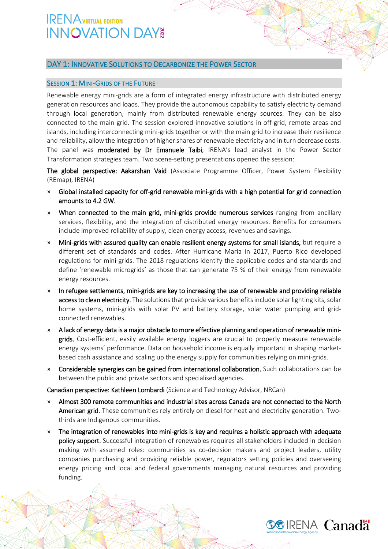### DAY 1: INNOVATIVE SOLUTIONS TO DECARBONIZE THE POWER SECTOR

### SESSION 1: MINI-GRIDS OF THE FUTURE

Renewable energy mini-grids are a form of integrated energy infrastructure with distributed energy generation resources and loads. They provide the autonomous capability to satisfy electricity demand through local generation, mainly from distributed renewable energy sources. They can be also connected to the main grid. The session explored innovative solutions in off-grid, remote areas and islands, including interconnecting mini-grids together or with the main grid to increase their resilience and reliability, allow the integration of higher shares of renewable electricity and in turn decrease costs. The panel was moderated by Dr Emanuele Taibi, IRENA's lead analyst in the Power Sector Transformation strategies team. Two scene-setting presentations opened the session:

The global perspective: Aakarshan Vaid (Associate Programme Officer, Power System Flexibility (REmap), IRENA)

- » Global installed capacity for off-grid renewable mini-grids with a high potential for grid connection amounts to 4.2 GW.
- » When connected to the main grid, mini-grids provide numerous services ranging from ancillary services, flexibility, and the integration of distributed energy resources. Benefits for consumers include improved reliability of supply, clean energy access, revenues and savings.
- » Mini-grids with assured quality can enable resilient energy systems for small islands, but require a different set of standards and codes. After Hurricane Maria in 2017, Puerto Rico developed regulations for mini-grids. The 2018 regulations identify the applicable codes and standards and define 'renewable microgrids' as those that can generate 75 % of their energy from renewable energy resources.
- » In refugee settlements, mini-grids are key to increasing the use of renewable and providing reliable access to clean electricity. The solutions that provide various benefits include solar lighting kits, solar home systems, mini-grids with solar PV and battery storage, solar water pumping and gridconnected renewables.
- » A lack of energy data is a major obstacle to more effective planning and operation of renewable minigrids. Cost-efficient, easily available energy loggers are crucial to properly measure renewable energy systems' performance. Data on household income is equally important in shaping marketbased cash assistance and scaling up the energy supply for communities relying on mini-grids.
- » Considerable synergies can be gained from international collaboration. Such collaborations can be between the public and private sectors and specialised agencies.

Canadian perspective: Kathleen Lombardi (Science and Technology Advisor, NRCan)

- » Almost 300 remote communities and industrial sites across Canada are not connected to the North American grid. These communities rely entirely on diesel for heat and electricity generation. Twothirds are Indigenous communities.
- » The integration of renewables into mini-grids is key and requires a holistic approach with adequate policy support. Successful integration of renewables requires all stakeholders included in decision making with assumed roles: communities as co-decision makers and project leaders, utility companies purchasing and providing reliable power, regulators setting policies and overseeing energy pricing and local and federal governments managing natural resources and providing funding.

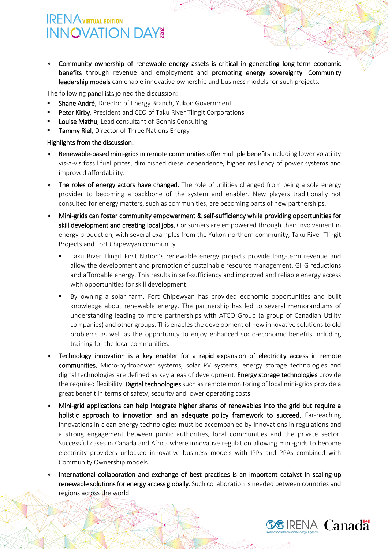» Community ownership of renewable energy assets is critical in generating long-term economic benefits through revenue and employment and promoting energy sovereignty. Community leadership models can enable innovative ownership and business models for such projects.

The following panellists joined the discussion:

- Shane André, Director of Energy Branch, Yukon Government
- Peter Kirby, President and CEO of Taku River Tlingit Corporations
- **Louise Mathu**, Lead consultant of Gennis Consulting
- Tammy Riel, Director of Three Nations Energy

- » Renewable-based mini-grids in remote communities offer multiple benefits including lower volatility vis-a-vis fossil fuel prices, diminished diesel dependence, higher resiliency of power systems and improved affordability.
- » The roles of energy actors have changed. The role of utilities changed from being a sole energy provider to becoming a backbone of the system and enabler. New players traditionally not consulted for energy matters, such as communities, are becoming parts of new partnerships.
- » Mini-grids can foster community empowerment & self-sufficiency while providing opportunities for skill development and creating local jobs. Consumers are empowered through their involvement in energy production, with several examples from the Yukon northern community, Taku River Tlingit Projects and Fort Chipewyan community.
	- Taku River Tlingit First Nation's renewable energy projects provide long-term revenue and allow the development and promotion of sustainable resource management, GHG reductions and affordable energy. This results in self-sufficiency and improved and reliable energy access with opportunities for skill development.
	- By owning a solar farm, Fort Chipewyan has provided economic opportunities and built knowledge about renewable energy. The partnership has led to several memorandums of understanding leading to more partnerships with ATCO Group (a group of Canadian Utility companies) and other groups. This enables the development of new innovative solutions to old problems as well as the opportunity to enjoy enhanced socio-economic benefits including training for the local communities.
- » Technology innovation is a key enabler for a rapid expansion of electricity access in remote communities. Micro-hydropower systems, solar PV systems, energy storage technologies and digital technologies are defined as key areas of development. Energy storage technologies provide the required flexibility. Digital technologies such as remote monitoring of local mini-grids provide a great benefit in terms of safety, security and lower operating costs.
- » Mini-grid applications can help integrate higher shares of renewables into the grid but require a holistic approach to innovation and an adequate policy framework to succeed. Far-reaching innovations in clean energy technologies must be accompanied by innovations in regulations and a strong engagement between public authorities, local communities and the private sector. Successful cases in Canada and Africa where innovative regulation allowing mini-grids to become electricity providers unlocked innovative business models with IPPs and PPAs combined with Community Ownership models.
- » International collaboration and exchange of best practices is an important catalyst in scaling-up renewable solutions for energy access globally. Such collaboration is needed between countries and regions across the world.

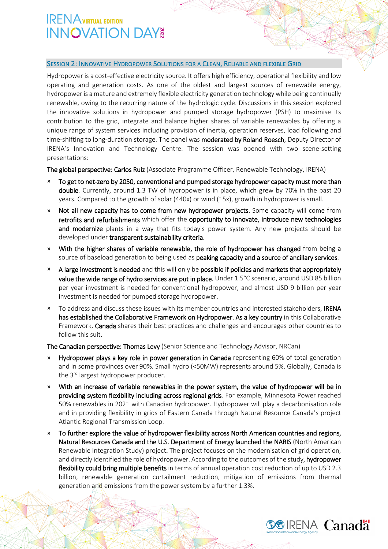#### SESSION 2: INNOVATIVE HYDROPOWER SOLUTIONS FOR A CLEAN, RELIABLE AND FLEXIBLE GRID

Hydropower is a cost-effective electricity source. It offers high efficiency, operational flexibility and low operating and generation costs. As one of the oldest and largest sources of renewable energy, hydropower is a mature and extremely flexible electricity generation technology while being continually renewable, owing to the recurring nature of the hydrologic cycle. Discussions in this session explored the innovative solutions in hydropower and pumped storage hydropower (PSH) to maximise its contribution to the grid, integrate and balance higher shares of variable renewables by offering a unique range of system services including provision of inertia, operation reserves, load following and time-shifting to long-duration storage. The panel was **moderated by Roland Roesch**, Deputy Director of IRENA's Innovation and Technology Centre. The session was opened with two scene-setting presentations:

The global perspective: Carlos Ruiz (Associate Programme Officer, Renewable Technology, IRENA)

- » To get to net-zero by 2050, conventional and pumped storage hydropower capacity must more than double. Currently, around 1.3 TW of hydropower is in place, which grew by 70% in the past 20 years. Compared to the growth of solar (440x) or wind (15x), growth in hydropower is small.
- Not all new capacity has to come from new hydropower projects. Some capacity will come from retrofits and refurbishments which offer the opportunity to innovate, introduce new technologies and modernize plants in a way that fits today's power system. Any new projects should be developed under transparent sustainability criteria.
- » With the higher shares of variable renewable, the role of hydropower has changed from being a source of baseload generation to being used as **peaking capacity and a source of ancillary services**.
- » A large investment is needed and this will only be possible if policies and markets that appropriately value the wide range of hydro services are put in place. Under 1.5°C scenario, around USD 85 billion per year investment is needed for conventional hydropower, and almost USD 9 billion per year investment is needed for pumped storage hydropower.
- » To address and discuss these issues with its member countries and interested stakeholders, IRENA has established the Collaborative Framework on Hydropower. As a key country in this Collaborative Framework, Canada shares their best practices and challenges and encourages other countries to follow this suit.

The Canadian perspective: Thomas Levy (Senior Science and Technology Advisor, NRCan)

- » Hydropower plays a key role in power generation in Canada representing 60% of total generation and in some provinces over 90%. Small hydro (<50MW) represents around 5%. Globally, Canada is the 3<sup>rd</sup> largest hydropower producer.
- » With an increase of variable renewables in the power system, the value of hydropower will be in providing system flexibility including across regional grids. For example, Minnesota Power reached 50% renewables in 2021 with Canadian hydropower. Hydropower will play a decarbonisation role and in providing flexibility in grids of Eastern Canada through Natural Resource Canada's project Atlantic Regional Transmission Loop.
- » To further explore the value of hydropower flexibility across North American countries and regions, Natural Resources Canada and the U.S. Department of Energy launched the NARIS (North American Renewable Integration Study) project. The project focuses on the modernisation of grid operation, and directly identified the role of hydropower. According to the outcomes of the study, hydropower flexibility could bring multiple benefits in terms of annual operation cost reduction of up to USD 2.3 billion, renewable generation curtailment reduction, mitigation of emissions from thermal generation and emissions from the power system by a further 1.3%.

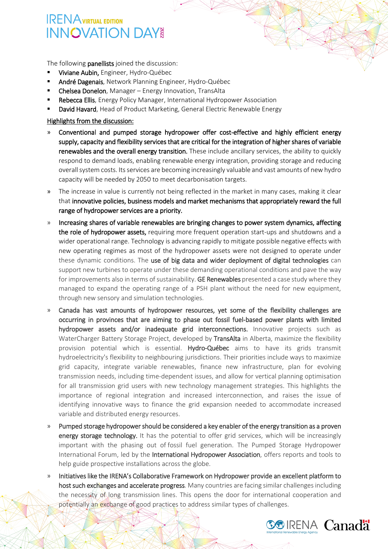The following **panellists** joined the discussion:

- Viviane Aubin, Engineer, Hydro-Québec
- André Dagenais, Network Planning Engineer, Hydro-Québec
- Chelsea Donelon, Manager Energy Innovation, TransAlta
- Rebecca Ellis, Energy Policy Manager, International Hydropower Association
- David Havard, Head of Product Marketing, General Electric Renewable Energy

- » Conventional and pumped storage hydropower offer cost-effective and highly efficient energy supply, capacity and flexibility services that are critical for the integration of higher shares of variable renewables and the overall energy transition. These include ancillary services, the ability to quickly respond to demand loads, enabling renewable energy integration, providing storage and reducing overall system costs. Its services are becoming increasingly valuable and vast amounts of new hydro capacity will be needed by 2050 to meet decarbonisation targets.
- » The increase in value is currently not being reflected in the market in many cases, making it clear that innovative policies, business models and market mechanisms that appropriately reward the full range of hydropower services are a priority.
- » Increasing shares of variable renewables are bringing changes to power system dynamics, affecting the role of hydropower assets, requiring more frequent operation start-ups and shutdowns and a wider operational range. Technology is advancing rapidly to mitigate possible negative effects with new operating regimes as most of the hydropower assets were not designed to operate under these dynamic conditions. The use of big data and wider deployment of digital technologies can support new turbines to operate under these demanding operational conditions and pave the way for improvements also in terms of sustainability. GE Renewables presented a case study where they managed to expand the operating range of a PSH plant without the need for new equipment, through new sensory and simulation technologies.
- » Canada has vast amounts of hydropower resources, yet some of the flexibility challenges are occurring in provinces that are aiming to phase out fossil fuel-based power plants with limited hydropower assets and/or inadequate grid interconnections. Innovative projects such as WaterCharger Battery Storage Project, developed by TransAlta in Alberta, maximize the flexibility provision potential which is essential. Hydro-Québec aims to have its grids transmit hydroelectricity's flexibility to neighbouring jurisdictions. Their priorities include ways to maximize grid capacity, integrate variable renewables, finance new infrastructure, plan for evolving transmission needs, including time-dependent issues, and allow for vertical planning optimisation for all transmission grid users with new technology management strategies. This highlights the importance of regional integration and increased interconnection, and raises the issue of identifying innovative ways to finance the grid expansion needed to accommodate increased variable and distributed energy resources.
- » Pumped storage hydropowershould be considered a key enabler of the energy transition as a proven energy storage technology. It has the potential to offer grid services, which will be increasingly important with the phasing out of fossil fuel generation. The Pumped Storage Hydropower International Forum, led by the International Hydropower Association, offers reports and tools to help guide prospective installations across the globe.
- » Initiatives like the IRENA's Collaborative Framework on Hydropower provide an excellent platform to host such exchanges and accelerate progress. Many countries are facing similar challenges including the necessity of long transmission lines. This opens the door for international cooperation and potentially an exchange of good practices to address similar types of challenges.

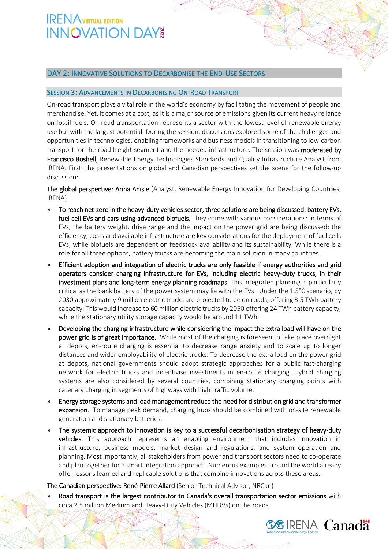### DAY 2: INNOVATIVE SOLUTIONS TO DECARBONISE THE END-USE SECTORS

### SESSION 3: ADVANCEMENTS IN DECARBONISING ON-ROAD TRANSPORT

On-road transport plays a vital role in the world's economy by facilitating the movement of people and merchandise. Yet, it comes at a cost, as it is a major source of emissions given its current heavy reliance on fossil fuels. On-road transportation represents a sector with the lowest level of renewable energy use but with the largest potential. During the session, discussions explored some of the challenges and opportunities in technologies, enabling frameworks and business models in transitioning to low-carbon transport for the road freight segment and the needed infrastructure. The session was **moderated by** Francisco Boshell, Renewable Energy Technologies Standards and Quality Infrastructure Analyst from IRENA. First, the presentations on global and Canadian perspectives set the scene for the follow-up discussion:

The global perspective: Arina Anisie (Analyst, Renewable Energy Innovation for Developing Countries, IRENA)

- » To reach net-zero in the heavy-duty vehicles sector, three solutions are being discussed: battery EVs, fuel cell EVs and cars using advanced biofuels. They come with various considerations: in terms of EVs, the battery weight, drive range and the impact on the power grid are being discussed; the efficiency, costs and available infrastructure are key considerations for the deployment of fuel cells EVs; while biofuels are dependent on feedstock availability and its sustainability. While there is a role for all three options, battery trucks are becoming the main solution in many countries.
- » Efficient adoption and integration of electric trucks are only feasible if energy authorities and grid operators consider charging infrastructure for EVs, including electric heavy-duty trucks, in their investment plans and long-term energy planning roadmaps. This integrated planning is particularly critical as the bank battery of the power system may lie with the EVs. Under the 1.5°C scenario, by 2030 approximately 9 million electric trucks are projected to be on roads, offering 3.5 TWh battery capacity. This would increase to 60 million electric trucks by 2050 offering 24 TWh battery capacity, while the stationary utility storage capacity would be around 11 TWh.
- » Developing the charging infrastructure while considering the impact the extra load will have on the **power grid is of great importance.** While most of the charging is foreseen to take place overnight at depots, en-route charging is essential to decrease range anxiety and to scale up to longer distances and wider employability of electric trucks. To decrease the extra load on the power grid at depots, national governments should adopt strategic approaches for a public fast-charging network for electric trucks and incentivise investments in en-route charging. Hybrid charging systems are also considered by several countries, combining stationary charging points with catenary charging in segments of highways with high traffic volume.
- » Energy storage systems and load management reduce the need for distribution grid and transformer expansion. To manage peak demand, charging hubs should be combined with on-site renewable generation and stationary batteries.
- » The systemic approach to innovation is key to a successful decarbonisation strategy of heavy-duty vehicles. This approach represents an enabling environment that includes innovation in infrastructure, business models, market design and regulations, and system operation and planning. Most importantly, all stakeholders from power and transport sectors need to co-operate and plan together for a smart integration approach. Numerous examples around the world already offer lessons learned and replicable solutions that combine innovations across these areas.

### The Canadian perspective: René-Pierre Allard (Senior Technical Advisor, NRCan)

» Road transport is the largest contributor to Canada's overall transportation sector emissions with circa 2.5 million Medium and Heavy-Duty Vehicles (MHDVs) on the roads.

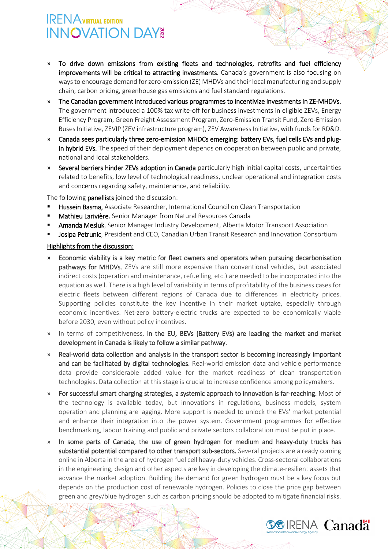- » To drive down emissions from existing fleets and technologies, retrofits and fuel efficiency improvements will be critical to attracting investments. Canada's government is also focusing on ways to encourage demand for zero-emission (ZE) MHDVs and their local manufacturing and supply chain, carbon pricing, greenhouse gas emissions and fuel standard regulations.
- » The Canadian government introduced various programmes to incentivize investments in ZE-MHDVs. The government introduced a 100% tax write-off for business investments in eligible ZEVs, Energy Efficiency Program, Green Freight Assessment Program, Zero-Emission Transit Fund, Zero-Emission Buses Initiative, ZEVIP (ZEV infrastructure program), ZEV Awareness Initiative, with funds for RD&D.
- » Canada sees particularly three zero-emission MHDCs emerging: battery EVs, fuel cells EVs and plugin hybrid EVs. The speed of their deployment depends on cooperation between public and private, national and local stakeholders.
- Several barriers hinder ZEVs adoption in Canada particularly high initial capital costs, uncertainties related to benefits, low level of technological readiness, unclear operational and integration costs and concerns regarding safety, maintenance, and reliability.

The following **panellists** joined the discussion:

- Hussein Basma, Associate Researcher, International Council on Clean Transportation
- Mathieu Larivière, Senior Manager from Natural Resources Canada
- **Amanda Mesluk**, Senior Manager Industry Development, Alberta Motor Transport Association
- Josipa Petrunic, President and CEO, Canadian Urban Transit Research and Innovation Consortium

- » Economic viability is a key metric for fleet owners and operators when pursuing decarbonisation pathways for MHDVs. ZEVs are still more expensive than conventional vehicles, but associated indirect costs (operation and maintenance, refuelling, etc.) are needed to be incorporated into the equation as well. There is a high level of variability in terms of profitability of the business cases for electric fleets between different regions of Canada due to differences in electricity prices. Supporting policies constitute the key incentive in their market uptake, especially through economic incentives. Net-zero battery-electric trucks are expected to be economically viable before 2030, even without policy incentives.
- » In terms of competitiveness, in the EU, BEVs (Battery EVs) are leading the market and market development in Canada is likely to follow a similar pathway.
- » Real-world data collection and analysis in the transport sector is becoming increasingly important and can be facilitated by digital technologies. Real-world emission data and vehicle performance data provide considerable added value for the market readiness of clean transportation technologies. Data collection at this stage is crucial to increase confidence among policymakers.
- » For successful smart charging strategies, a systemic approach to innovation is far-reaching. Most of the technology is available today, but innovations in regulations, business models, system operation and planning are lagging. More support is needed to unlock the EVs' market potential and enhance their integration into the power system. Government programmes for effective benchmarking, labour training and public and private sectors collaboration must be put in place.
- » In some parts of Canada, the use of green hydrogen for medium and heavy-duty trucks has substantial potential compared to other transport sub-sectors. Several projects are already coming online in Alberta in the area of hydrogen fuel cell heavy-duty vehicles. Cross-sectoral collaborations in the engineering, design and other aspects are key in developing the climate-resilient assets that advance the market adoption. Building the demand for green hydrogen must be a key focus but depends on the production cost of renewable hydrogen. Policies to close the price gap between green and grey/blue hydrogen such as carbon pricing should be adopted to mitigate financial risks.

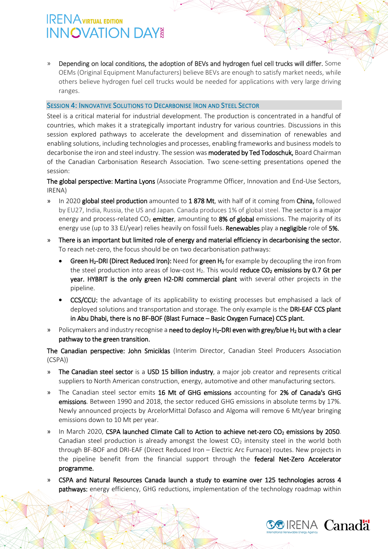» Depending on local conditions, the adoption of BEVs and hydrogen fuel cell trucks will differ. Some OEMs (Original Equipment Manufacturers) believe BEVs are enough to satisfy market needs, while others believe hydrogen fuel cell trucks would be needed for applications with very large driving ranges.

### SESSION 4: INNOVATIVE SOLUTIONS TO DECARBONISE IRON AND STEEL SECTOR

Steel is a critical material for industrial development. The production is concentrated in a handful of countries, which makes it a strategically important industry for various countries. Discussions in this session explored pathways to accelerate the development and dissemination of renewables and enabling solutions, including technologies and processes, enabling frameworks and business models to decarbonise the iron and steel industry. The session was moderated by Ted Todoschuk, Board Chairman of the Canadian Carbonisation Research Association. Two scene-setting presentations opened the session:

The global perspective: Martina Lyons (Associate Programme Officer, Innovation and End-Use Sectors, IRENA)

- » In 2020 global steel production amounted to 1 878 Mt, with half of it coming from China, followed by EU27, India, Russia, the US and Japan. Canada produces 1% of global steel. The sector is a major energy and process-related  $CO<sub>2</sub>$  emitter, amounting to 8% of global emissions. The majority of its energy use (up to 33 EJ/year) relies heavily on fossil fuels. Renewables play a negligible role of 5%.
- » There is an important but limited role of energy and material efficiency in decarbonising the sector. To reach net-zero, the focus should be on two decarbonisation pathways:
	- Green H<sub>2</sub>-DRI (Direct Reduced Iron): Need for green H<sub>2</sub> for example by decoupling the iron from the steel production into areas of low-cost  $H_2$ . This would reduce  $CO_2$  emissions by 0.7 Gt per year. HYBRIT is the only green H2-DRI commercial plant with several other projects in the pipeline.
	- CCS/CCU: the advantage of its applicability to existing processes but emphasised a lack of deployed solutions and transportation and storage. The only example is the DRI-EAF CCS plant in Abu Dhabi, there is no BF-BOF (Blast Furnace – Basic Oxygen Furnace) CCS plant.
- » Policymakers and industry recognise a need to deploy H<sub>2</sub>-DRI even with grey/blue H<sub>2</sub> but with a clear pathway to the green transition.

The Canadian perspective: John Smiciklas (Interim Director, Canadian Steel Producers Association (CSPA))

- » The Canadian steel sector is a USD 15 billion industry, a major job creator and represents critical suppliers to North American construction, energy, automotive and other manufacturing sectors.
- » The Canadian steel sector emits 16 Mt of GHG emissions accounting for 2% of Canada's GHG emissions. Between 1990 and 2018, the sector reduced GHG emissions in absolute terms by 17%. Newly announced projects by ArcelorMittal Dofasco and Algoma will remove 6 Mt/year bringing emissions down to 10 Mt per year.
- In March 2020, CSPA launched Climate Call to Action to achieve net-zero CO<sub>2</sub> emissions by 2050. Canadian steel production is already amongst the lowest  $CO<sub>2</sub>$  intensity steel in the world both through BF-BOF and DRI-EAF (Direct Reduced Iron – Electric Arc Furnace) routes. New projects in the pipeline benefit from the financial support through the federal Net-Zero Accelerator programme.
- » CSPA and Natural Resources Canada launch a study to examine over 125 technologies across 4 pathways: energy efficiency, GHG reductions, implementation of the technology roadmap within

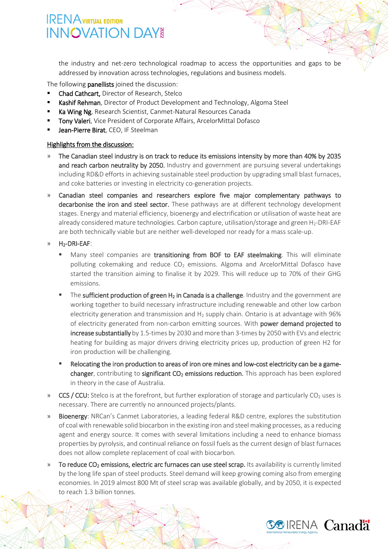the industry and net-zero technological roadmap to access the opportunities and gaps to be addressed by innovation across technologies, regulations and business models.

The following panellists joined the discussion:

- Chad Cathcart, Director of Research, Stelco
- Kashif Rehman, Director of Product Development and Technology, Algoma Steel
- Ka Wing Ng, Research Scientist, Canmet-Natural Resources Canada
- Tony Valeri, Vice President of Corporate Affairs, ArcelorMittal Dofasco
- Jean-Pierre Birat, CEO, IF Steelman

- » The Canadian steel industry is on track to reduce its emissions intensity by more than 40% by 2035 and reach carbon neutrality by 2050. Industry and government are pursuing several undertakings including RD&D efforts in achieving sustainable steel production by upgrading small blast furnaces, and coke batteries or investing in electricity co-generation projects.
- » Canadian steel companies and researchers explore five major complementary pathways to decarbonise the iron and steel sector. These pathways are at different technology development stages. Energy and material efficiency, bioenergy and electrification or utilisation of waste heat are already considered mature technologies. Carbon capture, utilisation/storage and green H<sub>2</sub>-DRI-EAF are both technically viable but are neither well-developed nor ready for a mass scale-up.
- » H2-DRI-EAF:
	- Many steel companies are transitioning from BOF to EAF steelmaking. This will eliminate polluting cokemaking and reduce  $CO<sub>2</sub>$  emissions. Algoma and ArcelorMittal Dofasco have started the transition aiming to finalise it by 2029. This will reduce up to 70% of their GHG emissions.
	- The sufficient production of green  $H_2$  in Canada is a challenge. Industry and the government are working together to build necessary infrastructure including renewable and other low carbon electricity generation and transmission and  $H_2$  supply chain. Ontario is at advantage with 96% of electricity generated from non-carbon emitting sources. With power demand projected to increase substantially by 1.5-times by 2030 and more than 3-times by 2050 with EVs and electric heating for building as major drivers driving electricity prices up, production of green H2 for iron production will be challenging.
	- Relocating the iron production to areas of iron ore mines and low-cost electricity can be a gamechanger, contributing to significant  $CO<sub>2</sub>$  emissions reduction. This approach has been explored in theory in the case of Australia.
- » CCS / CCU: Stelco is at the forefront, but further exploration of storage and particularly  $CO<sub>2</sub>$  uses is necessary. There are currently no announced projects/plants.
- » Bioenergy: NRCan's Canmet Laboratories, a leading federal R&D centre, explores the substitution of coal with renewable solid biocarbon in the existing iron and steel making processes, as a reducing agent and energy source. It comes with several limitations including a need to enhance biomass properties by pyrolysis, and continual reliance on fossil fuels as the current design of blast furnaces does not allow complete replacement of coal with biocarbon.
- To reduce  $CO<sub>2</sub>$  emissions, electric arc furnaces can use steel scrap. Its availability is currently limited by the long life span of steel products. Steel demand will keep growing coming also from emerging economies. In 2019 almost 800 Mt of steel scrap was available globally, and by 2050, it is expected to reach 1.3 billion tonnes.